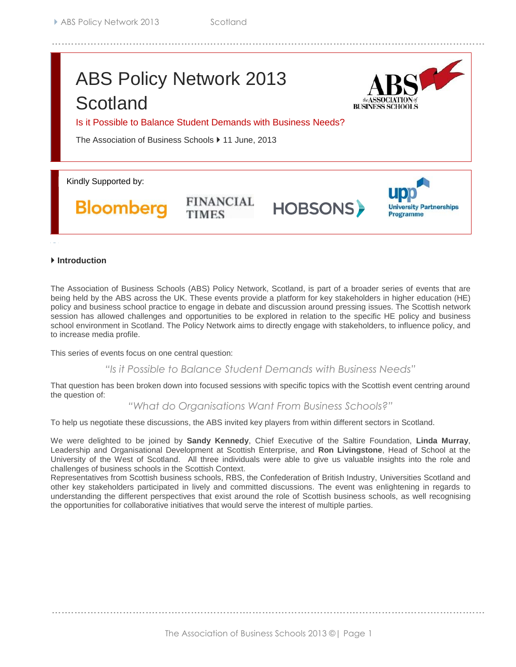## ABS Policy Network 2013 **Scotland**



Is it Possible to Balance Student Demands with Business Needs?

**FINANCIAL** 

The Association of Business Schools ▶ 11 June, 2013

Kindly Supported by:

**Bloomberg** 

# **HOBSONS**



## **Introduction**

The Association of Business Schools (ABS) Policy Network, Scotland, is part of a broader series of events that are being held by the ABS across the UK. These events provide a platform for key stakeholders in higher education (HE) policy and business school practice to engage in debate and discussion around pressing issues. The Scottish network session has allowed challenges and opportunities to be explored in relation to the specific HE policy and business school environment in Scotland. The Policy Network aims to directly engage with stakeholders, to influence policy, and to increase media profile.

This series of events focus on one central question:

*"Is it Possible to Balance Student Demands with Business Needs"*

That question has been broken down into focused sessions with specific topics with the Scottish event centring around the question of:

*"What do Organisations Want From Business Schools?"*

To help us negotiate these discussions, the ABS invited key players from within different sectors in Scotland.

We were delighted to be joined by **Sandy Kennedy**, Chief Executive of the Saltire Foundation, **Linda Murray**, Leadership and Organisational Development at Scottish Enterprise, and **Ron Livingstone**, Head of School at the University of the West of Scotland. All three individuals were able to give us valuable insights into the role and challenges of business schools in the Scottish Context.

Representatives from Scottish business schools, RBS, the Confederation of British Industry, Universities Scotland and other key stakeholders participated in lively and committed discussions. The event was enlightening in regards to understanding the different perspectives that exist around the role of Scottish business schools, as well recognising the opportunities for collaborative initiatives that would serve the interest of multiple parties.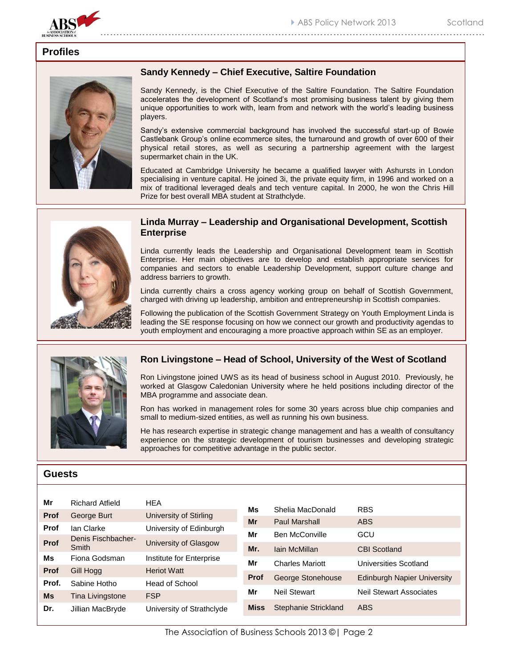

## **Profiles**



## **Sandy Kennedy – Chief Executive, Saltire Foundation**

Sandy Kennedy, is the Chief Executive of the Saltire Foundation. The Saltire Foundation accelerates the development of Scotland's most promising business talent by giving them unique opportunities to work with, learn from and network with the world's leading business players.

Sandy's extensive commercial background has involved the successful start-up of Bowie Castlebank Group's online ecommerce sites, the turnaround and growth of over 600 of their physical retail stores, as well as securing a partnership agreement with the largest supermarket chain in the UK.

Educated at Cambridge University he became a qualified lawyer with Ashursts in London specialising in venture capital. He joined 3i, the private equity firm, in 1996 and worked on a mix of traditional leveraged deals and tech venture capital. In 2000, he won the Chris Hill Prize for best overall MBA student at Strathclyde.



## **Linda Murray – Leadership and Organisational Development, Scottish Enterprise**

Linda currently leads the Leadership and Organisational Development team in Scottish Enterprise. Her main objectives are to develop and establish appropriate services for companies and sectors to enable Leadership Development, support culture change and address barriers to growth.

Linda currently chairs a cross agency working group on behalf of Scottish Government, charged with driving up leadership, ambition and entrepreneurship in Scottish companies.

Following the publication of the Scottish Government Strategy on Youth Employment Linda is leading the SE response focusing on how we connect our growth and productivity agendas to youth employment and encouraging a more proactive approach within SE as an employer.



## **Ron Livingstone – Head of School, University of the West of Scotland**

Ron Livingstone joined UWS as its head of business school in August 2010. Previously, he worked at Glasgow Caledonian University where he held positions including director of the MBA programme and associate dean.

Ron has worked in management roles for some 30 years across blue chip companies and small to medium-sized entities, as well as running his own business.

He has research expertise in strategic change management and has a wealth of consultancy experience on the strategic development of tourism businesses and developing strategic approaches for competitive advantage in the public sector.

## **Guests**

| Mr          | <b>Richard Atfield</b> | <b>HEA</b>                |             |                        |                                    |
|-------------|------------------------|---------------------------|-------------|------------------------|------------------------------------|
| <b>Prof</b> | George Burt            | University of Stirling    | Ms<br>Mr    | Shelia MacDonald       | <b>RBS</b>                         |
| Prof        | lan Clarke             |                           |             | Paul Marshall          | <b>ABS</b>                         |
|             |                        | University of Edinburgh   | Mr          | <b>Ben McConville</b>  | GCU                                |
| Prof        | Denis Fischbacher-     | University of Glasgow     |             |                        |                                    |
|             | Smith                  |                           | Mr.         | Iain McMillan          | <b>CBI Scotland</b>                |
| Ms          | Fiona Godsman          | Institute for Enterprise  | Mr          | <b>Charles Mariott</b> | Universities Scotland              |
| <b>Prof</b> | Gill Hogg              | <b>Heriot Watt</b>        |             |                        |                                    |
| Prof.       | Sabine Hotho           | Head of School            | <b>Prof</b> | George Stonehouse      | <b>Edinburgh Napier University</b> |
|             |                        |                           | Mr          | <b>Neil Stewart</b>    | <b>Neil Stewart Associates</b>     |
| <b>Ms</b>   | Tina Livingstone       | <b>FSP</b>                |             |                        |                                    |
| Dr.         | Jillian MacBryde       | University of Strathclyde | <b>Miss</b> | Stephanie Strickland   | <b>ABS</b>                         |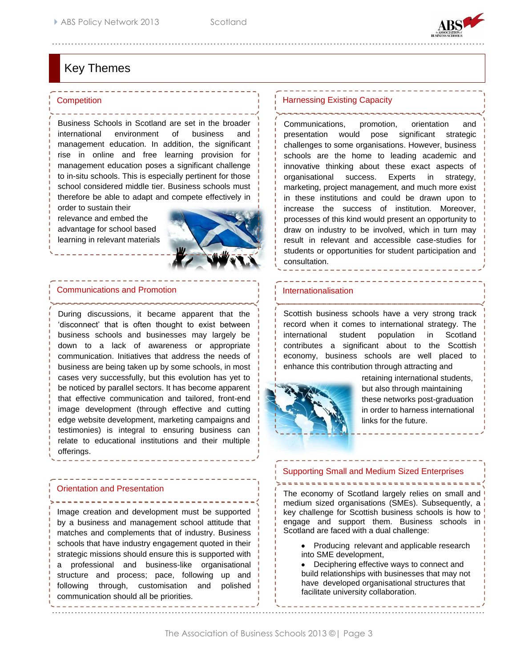

## Key Themes

#### Competition

Business Schools in Scotland are set in the broader international environment of business and management education. In addition, the significant rise in online and free learning provision for management education poses a significant challenge to in-situ schools. This is especially pertinent for those school considered middle tier. Business schools must therefore be able to adapt and compete effectively in

order to sustain their relevance and embed the advantage for school based learning in relevant materials



### Communications and Promotion

During discussions, it became apparent that the 'disconnect' that is often thought to exist between business schools and businesses may largely be down to a lack of awareness or appropriate communication. Initiatives that address the needs of business are being taken up by some schools, in most cases very successfully, but this evolution has yet to be noticed by parallel sectors. It has become apparent that effective communication and tailored, front-end image development (through effective and cutting edge website development, marketing campaigns and testimonies) is integral to ensuring business can relate to educational institutions and their multiple offerings.

## Orientation and Presentation

Image creation and development must be supported by a business and management school attitude that matches and complements that of industry. Business schools that have industry engagement quoted in their strategic missions should ensure this is supported with a professional and business-like organisational structure and process; pace, following up and following through, customisation and polished communication should all be priorities.

## Harnessing Existing Capacity

Communications, promotion, orientation and presentation would pose significant strategic challenges to some organisations. However, business schools are the home to leading academic and innovative thinking about these exact aspects of organisational success. Experts in strategy, marketing, project management, and much more exist in these institutions and could be drawn upon to increase the success of institution. Moreover, processes of this kind would present an opportunity to draw on industry to be involved, which in turn may result in relevant and accessible case-studies for students or opportunities for student participation and consultation.

## Internationalisation

Scottish business schools have a very strong track record when it comes to international strategy. The international student population in Scotland contributes a significant about to the Scottish economy, business schools are well placed to enhance this contribution through attracting and



retaining international students, but also through maintaining these networks post-graduation in order to harness international links for the future.

## Supporting Small and Medium Sized Enterprises

The economy of Scotland largely relies on small and medium sized organisations (SMEs). Subsequently, a key challenge for Scottish business schools is how to engage and support them. Business schools in Scotland are faced with a dual challenge:

• Producing relevant and applicable research into SME development,

Deciphering effective ways to connect and build relationships with businesses that may not have developed organisational structures that facilitate university collaboration.